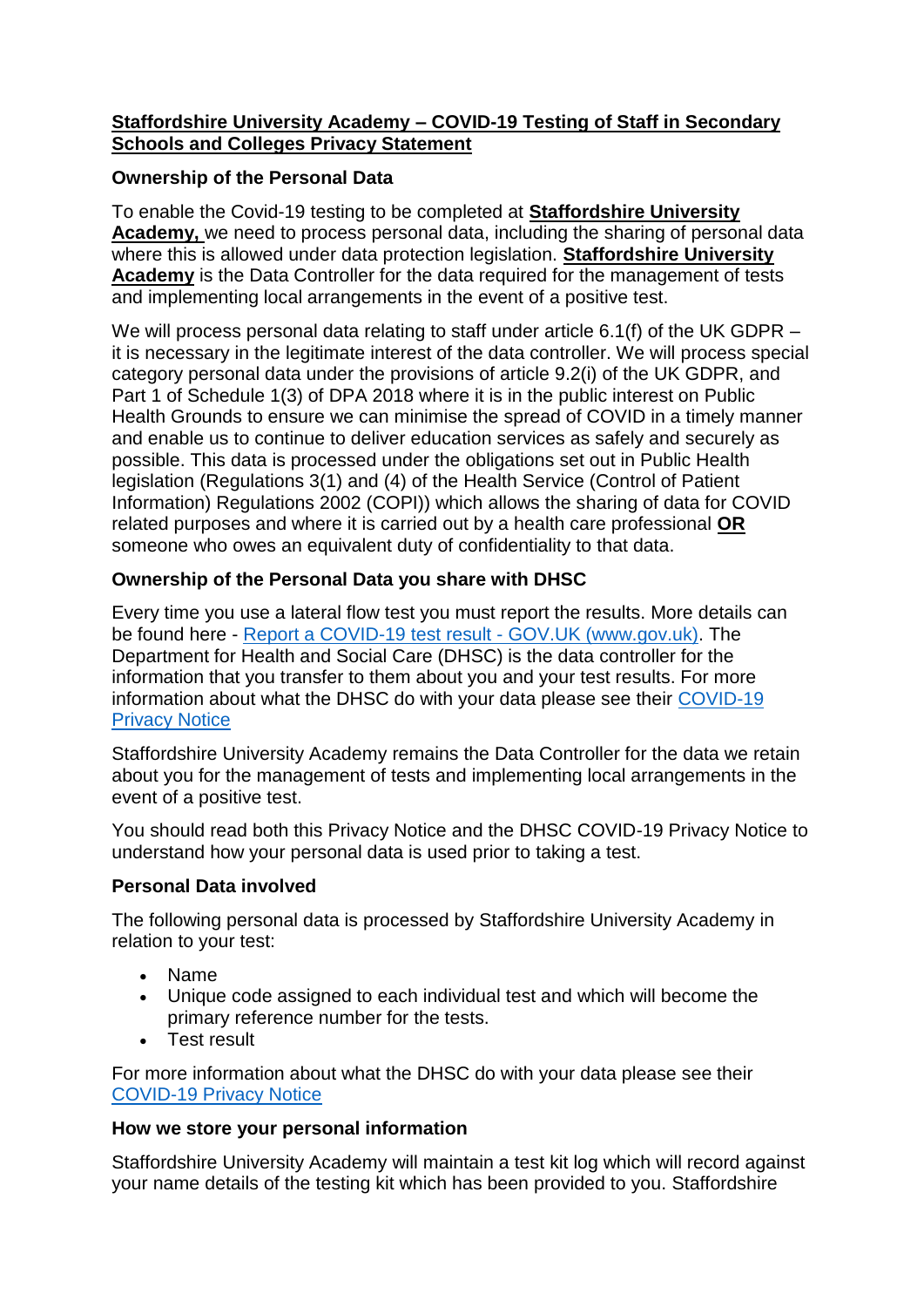#### **Staffordshire University Academy – COVID-19 Testing of Staff in Secondary Schools and Colleges Privacy Statement**

### **Ownership of the Personal Data**

To enable the Covid-19 testing to be completed at **Staffordshire University Academy,** we need to process personal data, including the sharing of personal data where this is allowed under data protection legislation. **Staffordshire University Academy** is the Data Controller for the data required for the management of tests and implementing local arrangements in the event of a positive test.

We will process personal data relating to staff under article 6.1(f) of the UK GDPR – it is necessary in the legitimate interest of the data controller. We will process special category personal data under the provisions of article 9.2(i) of the UK GDPR, and Part 1 of Schedule 1(3) of DPA 2018 where it is in the public interest on Public Health Grounds to ensure we can minimise the spread of COVID in a timely manner and enable us to continue to deliver education services as safely and securely as possible. This data is processed under the obligations set out in Public Health legislation (Regulations 3(1) and (4) of the Health Service (Control of Patient Information) Regulations 2002 (COPI)) which allows the sharing of data for COVID related purposes and where it is carried out by a health care professional **OR** someone who owes an equivalent duty of confidentiality to that data.

## **Ownership of the Personal Data you share with DHSC**

Every time you use a lateral flow test you must report the results. More details can be found here - [Report a COVID-19 test result -](https://www.gov.uk/report-covid19-result) GOV.UK (www.gov.uk). The Department for Health and Social Care (DHSC) is the data controller for the information that you transfer to them about you and your test results. For more information about what the DHSC do with your data please see their [COVID-19](https://www.gov.uk/government/publications/coronavirus-covid-19-testing-privacy-information)  [Privacy Notice](https://www.gov.uk/government/publications/coronavirus-covid-19-testing-privacy-information)

Staffordshire University Academy remains the Data Controller for the data we retain about you for the management of tests and implementing local arrangements in the event of a positive test.

You should read both this Privacy Notice and the DHSC COVID-19 Privacy Notice to understand how your personal data is used prior to taking a test.

#### **Personal Data involved**

The following personal data is processed by Staffordshire University Academy in relation to your test:

- Name
- Unique code assigned to each individual test and which will become the primary reference number for the tests.
- Test result

For more information about what the DHSC do with your data please see their [COVID-19 Privacy Notice](https://www.gov.uk/government/publications/coronavirus-covid-19-testing-privacy-information)

# **How we store your personal information**

Staffordshire University Academy will maintain a test kit log which will record against your name details of the testing kit which has been provided to you. Staffordshire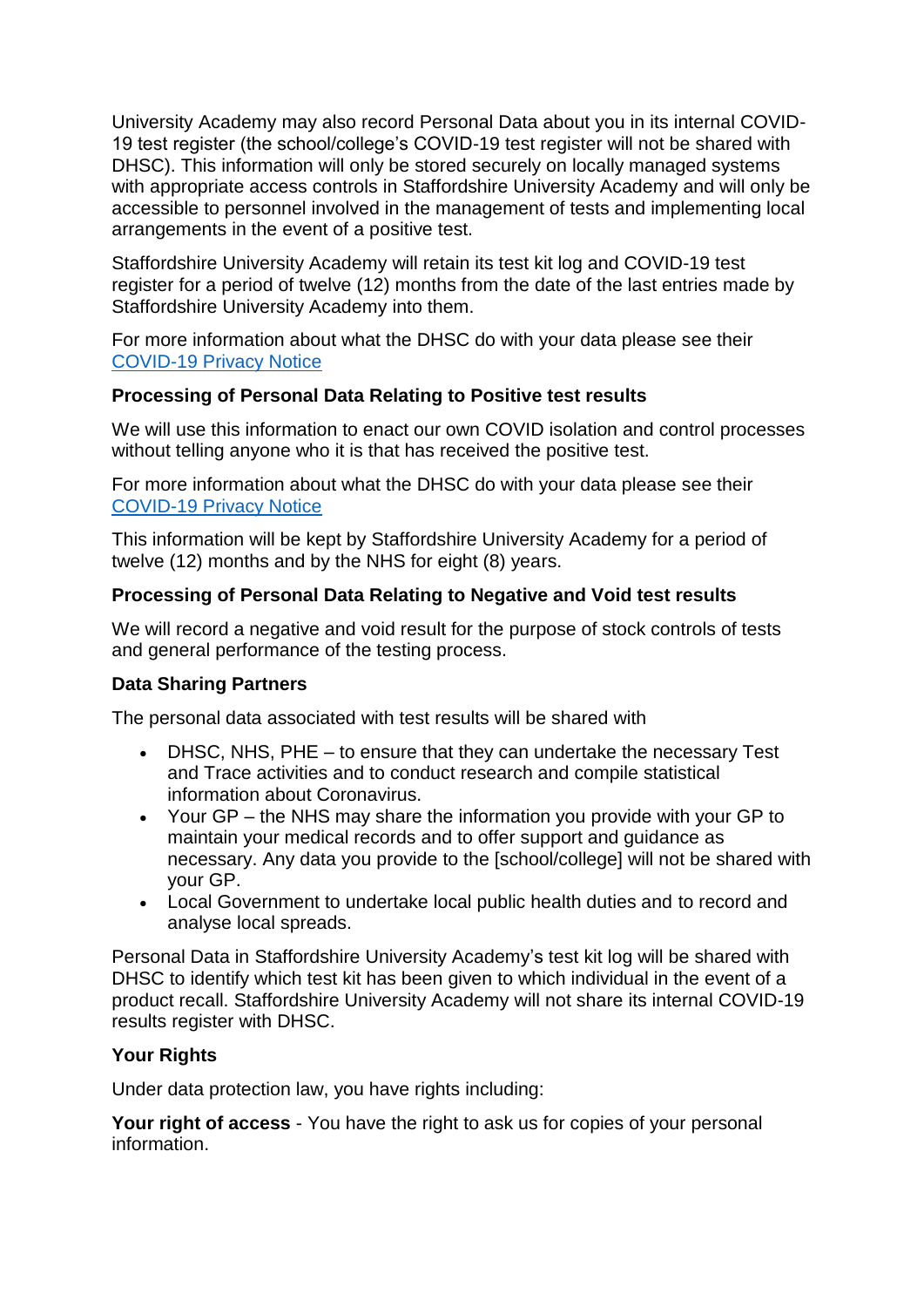University Academy may also record Personal Data about you in its internal COVID-19 test register (the school/college's COVID-19 test register will not be shared with DHSC). This information will only be stored securely on locally managed systems with appropriate access controls in Staffordshire University Academy and will only be accessible to personnel involved in the management of tests and implementing local arrangements in the event of a positive test.

Staffordshire University Academy will retain its test kit log and COVID-19 test register for a period of twelve (12) months from the date of the last entries made by Staffordshire University Academy into them.

For more information about what the DHSC do with your data please see their [COVID-19 Privacy Notice](https://www.gov.uk/government/publications/coronavirus-covid-19-testing-privacy-information)

#### **Processing of Personal Data Relating to Positive test results**

We will use this information to enact our own COVID isolation and control processes without telling anyone who it is that has received the positive test.

For more information about what the DHSC do with your data please see their [COVID-19 Privacy Notice](https://www.gov.uk/government/publications/coronavirus-covid-19-testing-privacy-information)

This information will be kept by Staffordshire University Academy for a period of twelve (12) months and by the NHS for eight (8) years.

## **Processing of Personal Data Relating to Negative and Void test results**

We will record a negative and void result for the purpose of stock controls of tests and general performance of the testing process.

#### **Data Sharing Partners**

The personal data associated with test results will be shared with

- DHSC, NHS, PHE to ensure that they can undertake the necessary Test and Trace activities and to conduct research and compile statistical information about Coronavirus.
- Your GP the NHS may share the information you provide with your GP to maintain your medical records and to offer support and guidance as necessary. Any data you provide to the [school/college] will not be shared with your GP.
- Local Government to undertake local public health duties and to record and analyse local spreads.

Personal Data in Staffordshire University Academy's test kit log will be shared with DHSC to identify which test kit has been given to which individual in the event of a product recall. Staffordshire University Academy will not share its internal COVID-19 results register with DHSC.

# **Your Rights**

Under data protection law, you have rights including:

**Your right of access** - You have the right to ask us for copies of your personal information.